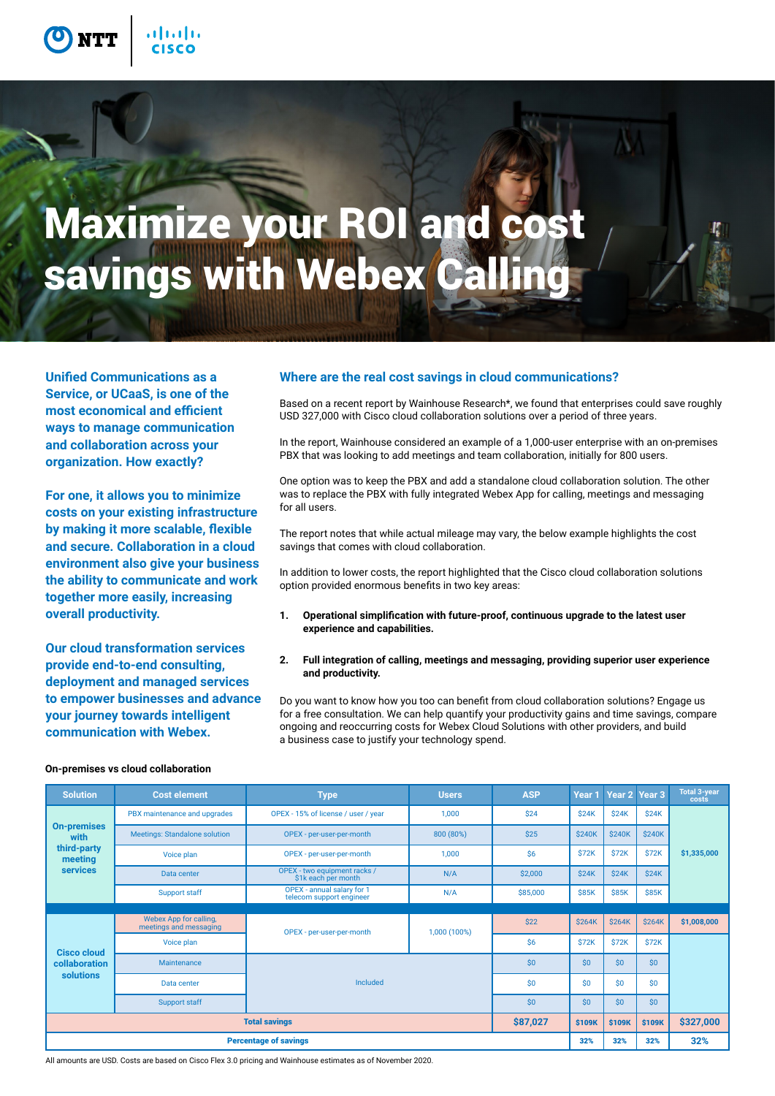

**Service, or UCaaS, is one of the most economical and efficient ways to manage communication and collaboration across your organization. How exactly?** 

**For one, it allows you to minimize costs on your existing infrastructure by making it more scalable, flexible and secure. Collaboration in a cloud environment also give your business the ability to communicate and work together more easily, increasing overall productivity.**

**Our cloud transformation services provide end-to-end consulting, deployment and managed services to empower businesses and advance your journey towards intelligent communication with Webex.**

### **Unified Communications as a Where are the real cost savings in cloud communications?**

Based on a recent report by Wainhouse Research\*, we found that enterprises could save roughly USD 327,000 with Cisco cloud collaboration solutions over a period of three years.

In the report, Wainhouse considered an example of a 1,000-user enterprise with an on-premises PBX that was looking to add meetings and team collaboration, initially for 800 users.

One option was to keep the PBX and add a standalone cloud collaboration solution. The other was to replace the PBX with fully integrated Webex App for calling, meetings and messaging for all users.

The report notes that while actual mileage may vary, the below example highlights the cost savings that comes with cloud collaboration.

In addition to lower costs, the report highlighted that the Cisco cloud collaboration solutions option provided enormous benefits in two key areas:

- **1. Operational simplification with future-proof, continuous upgrade to the latest user experience and capabilities.**
- **2. Full integration of calling, meetings and messaging, providing superior user experience and productivity.**

Do you want to know how you too can benefit from cloud collaboration solutions? Engage us for a free consultation. We can help quantify your productivity gains and time savings, compare ongoing and reoccurring costs for Webex Cloud Solutions with other providers, and build a business case to justify your technology spend.

| <b>Solution</b>                                                         | <b>Cost element</b>                              | <b>Type</b>                                            | <b>Users</b> | <b>ASP</b> | Year 1        | Year 2 Year 3 |               | <b>Total 3-year</b><br>costs |
|-------------------------------------------------------------------------|--------------------------------------------------|--------------------------------------------------------|--------------|------------|---------------|---------------|---------------|------------------------------|
| <b>On-premises</b><br>with<br>third-party<br>meeting<br><b>services</b> | PBX maintenance and upgrades                     | OPEX - 15% of license / user / year                    | 1,000        | \$24       | \$24K         | \$24K         | \$24K         | \$1,335,000                  |
|                                                                         | <b>Meetings: Standalone solution</b>             | OPEX - per-user-per-month                              | 800 (80%)    | \$25       | <b>\$240K</b> | <b>\$240K</b> | <b>\$240K</b> |                              |
|                                                                         | Voice plan                                       | OPEX - per-user-per-month                              | 1,000        | \$6        | <b>\$72K</b>  | <b>\$72K</b>  | <b>\$72K</b>  |                              |
|                                                                         | Data center                                      | OPEX - two equipment racks /<br>\$1k each per month    | N/A          | \$2,000    | \$24K         | \$24K         | \$24K         |                              |
|                                                                         | <b>Support staff</b>                             | OPEX - annual salary for 1<br>telecom support engineer | N/A          | \$85,000   | <b>\$85K</b>  | <b>\$85K</b>  | <b>\$85K</b>  |                              |
|                                                                         |                                                  |                                                        |              |            |               |               |               |                              |
| <b>Cisco cloud</b><br>collaboration<br>solutions                        | Webex App for calling,<br>meetings and messaging | OPEX - per-user-per-month                              | 1,000 (100%) | \$22       | <b>\$264K</b> | <b>\$264K</b> | <b>\$264K</b> | \$1,008,000                  |
|                                                                         | Voice plan                                       |                                                        |              | \$6        | \$72K         | <b>\$72K</b>  | <b>\$72K</b>  |                              |
|                                                                         | Maintenance                                      |                                                        | \$0          | \$0        | \$0           | \$0           |               |                              |
|                                                                         | Data center                                      | Included                                               |              | \$0        | \$0           | \$0           | \$0           |                              |
|                                                                         | Support staff                                    |                                                        | \$0          | \$0        | \$0           | \$0           |               |                              |
| \$87,027<br><b>Total savings</b>                                        |                                                  |                                                        |              |            | \$109K        | \$109K        | \$109K        | \$327,000                    |
| <b>Percentage of savings</b>                                            |                                                  |                                                        |              |            | 32%           | 32%           | 32%           | 32%                          |

#### **On-premises vs cloud collaboration**

All amounts are USD. Costs are based on Cisco Flex 3.0 pricing and Wainhouse estimates as of November 2020.